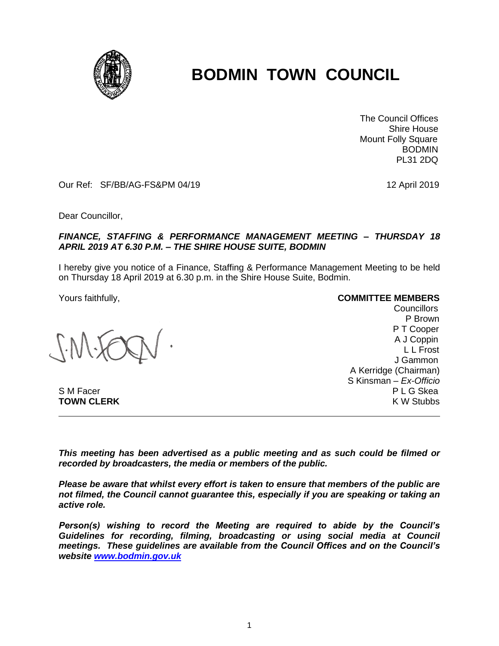

## **BODMIN TOWN COUNCIL**

 The Council Offices Shire House Mount Folly Square BODMIN PL31 2DQ

Our Ref: SF/BB/AG-FS&PM 04/19 12 April 2019

Dear Councillor,

## *FINANCE, STAFFING & PERFORMANCE MANAGEMENT MEETING – THURSDAY 18 APRIL 2019 AT 6.30 P.M. – THE SHIRE HOUSE SUITE, BODMIN*

I hereby give you notice of a Finance, Staffing & Performance Management Meeting to be held on Thursday 18 April 2019 at 6.30 p.m. in the Shire House Suite, Bodmin.

Yours faithfully, **COMMITTEE MEMBERS**

Councillors P Brown P T Cooper A J Coppin L L Frost J Gammon A Kerridge (Chairman) S Kinsman – *Ex-Officio* S M Facer P L G Skea **TOWN CLERK** K W Stubbs and the studies of the studies of the studies of the studies of the studies of the studies of the studies of the studies of the studies of the studies of the studies of the studies of the studies of

*This meeting has been advertised as a public meeting and as such could be filmed or recorded by broadcasters, the media or members of the public.*

*Please be aware that whilst every effort is taken to ensure that members of the public are not filmed, the Council cannot guarantee this, especially if you are speaking or taking an active role.*

*Person(s) wishing to record the Meeting are required to abide by the Council's Guidelines for recording, filming, broadcasting or using social media at Council meetings. These guidelines are available from the Council Offices and on the Council's website [www.bodmin.gov.uk](http://www.bodmin.gov.uk/)*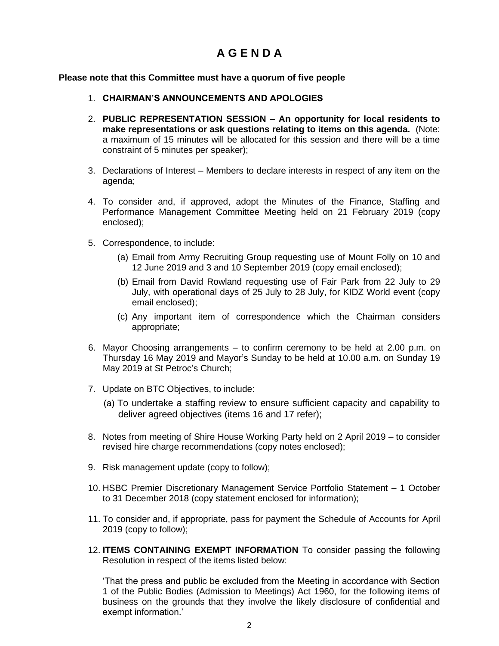## **A G E N D A**

## **Please note that this Committee must have a quorum of five people**

- 1. **CHAIRMAN'S ANNOUNCEMENTS AND APOLOGIES**
- 2. **PUBLIC REPRESENTATION SESSION – An opportunity for local residents to make representations or ask questions relating to items on this agenda.** (Note: a maximum of 15 minutes will be allocated for this session and there will be a time constraint of 5 minutes per speaker);
- 3. Declarations of Interest Members to declare interests in respect of any item on the agenda;
- 4. To consider and, if approved, adopt the Minutes of the Finance, Staffing and Performance Management Committee Meeting held on 21 February 2019 (copy enclosed);
- 5. Correspondence, to include:
	- (a) Email from Army Recruiting Group requesting use of Mount Folly on 10 and 12 June 2019 and 3 and 10 September 2019 (copy email enclosed);
	- (b) Email from David Rowland requesting use of Fair Park from 22 July to 29 July, with operational days of 25 July to 28 July, for KIDZ World event (copy email enclosed);
	- (c) Any important item of correspondence which the Chairman considers appropriate;
- 6. Mayor Choosing arrangements to confirm ceremony to be held at 2.00 p.m. on Thursday 16 May 2019 and Mayor's Sunday to be held at 10.00 a.m. on Sunday 19 May 2019 at St Petroc's Church;
- 7. Update on BTC Objectives, to include:
	- (a) To undertake a staffing review to ensure sufficient capacity and capability to deliver agreed objectives (items 16 and 17 refer);
- 8. Notes from meeting of Shire House Working Party held on 2 April 2019 to consider revised hire charge recommendations (copy notes enclosed);
- 9. Risk management update (copy to follow);
- 10. HSBC Premier Discretionary Management Service Portfolio Statement 1 October to 31 December 2018 (copy statement enclosed for information);
- 11. To consider and, if appropriate, pass for payment the Schedule of Accounts for April 2019 (copy to follow);
- 12. **ITEMS CONTAINING EXEMPT INFORMATION** To consider passing the following Resolution in respect of the items listed below:

'That the press and public be excluded from the Meeting in accordance with Section 1 of the Public Bodies (Admission to Meetings) Act 1960, for the following items of business on the grounds that they involve the likely disclosure of confidential and exempt information.'